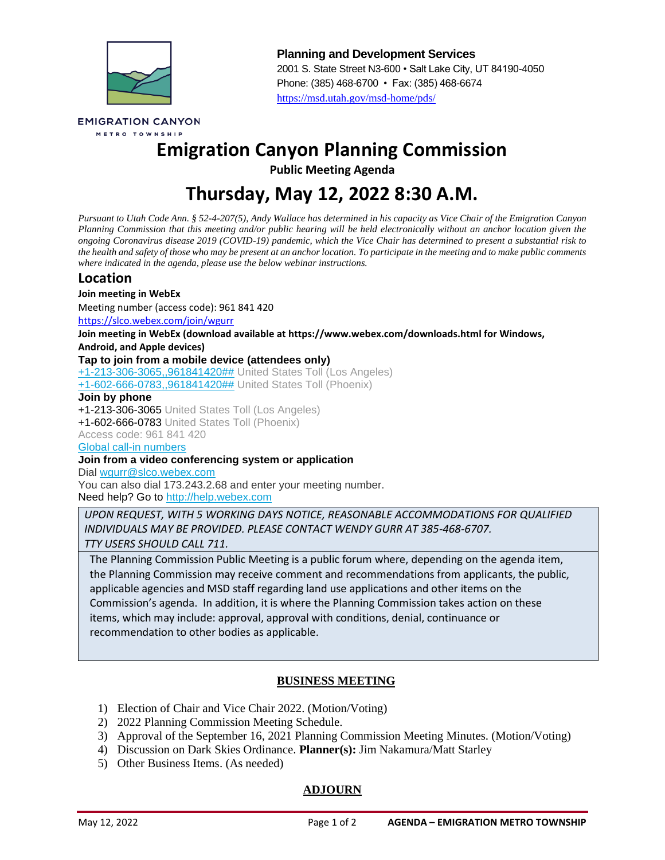

**Planning and Development Services** 2001 S. State Street N3-600 • Salt Lake City, UT 84190-4050 Phone: (385) 468-6700 • Fax: (385) 468-6674 <https://msd.utah.gov/msd-home/pds/>

**EMIGRATION CANYON** METRO TOWNSHIP

# **Emigration Canyon Planning Commission**

**Public Meeting Agenda**

# **Thursday, May 12, 2022 8:30 A.M.**

*Pursuant to Utah Code Ann. § 52-4-207(5), Andy Wallace has determined in his capacity as Vice Chair of the Emigration Canyon Planning Commission that this meeting and/or public hearing will be held electronically without an anchor location given the ongoing Coronavirus disease 2019 (COVID-19) pandemic, which the Vice Chair has determined to present a substantial risk to the health and safety of those who may be present at an anchor location. To participate in the meeting and to make public comments where indicated in the agenda, please use the below webinar instructions.*

## **Location**

#### **Join meeting in WebEx**

Meeting number (access code): 961 841 420

<https://slco.webex.com/join/wgurr>

**Join meeting in WebEx (download available at https://www.webex.com/downloads.html for Windows,** 

**Android, and Apple devices)** 

#### **Tap to join from a mobile device (attendees only)**

[+1-213-306-3065,,961841420##](tel:%2B1-213-306-3065,,*01*961841420%23%23*01*) United States Toll (Los Angeles)

[+1-602-666-0783,,961841420##](tel:%2B1-602-666-0783,,*01*961841420%23%23*01*) United States Toll (Phoenix)

#### **Join by phone**

+1-213-306-3065 United States Toll (Los Angeles) +1-602-666-0783 United States Toll (Phoenix) Access code: 961 841 420

[Global call-in numbers](https://slco.webex.com/cmp3300/webcomponents/widget/globalcallin/globalcallin.do?siteurl=slco&serviceType=MC&ED=856043427&tollFree=0)

#### **Join from a video conferencing system or application**

Dial [wgurr@slco.webex.com](sip:wgurr@slco.webex.com)

You can also dial 173.243.2.68 and enter your meeting number. Need help? Go to [http://help.webex.com](http://help.webex.com/)

*UPON REQUEST, WITH 5 WORKING DAYS NOTICE, REASONABLE ACCOMMODATIONS FOR QUALIFIED INDIVIDUALS MAY BE PROVIDED. PLEASE CONTACT WENDY GURR AT 385-468-6707. TTY USERS SHOULD CALL 711.*

The Planning Commission Public Meeting is a public forum where, depending on the agenda item, the Planning Commission may receive comment and recommendations from applicants, the public, applicable agencies and MSD staff regarding land use applications and other items on the Commission's agenda. In addition, it is where the Planning Commission takes action on these items, which may include: approval, approval with conditions, denial, continuance or recommendation to other bodies as applicable.

### **BUSINESS MEETING**

- 1) Election of Chair and Vice Chair 2022. (Motion/Voting)
- 2) 2022 Planning Commission Meeting Schedule.
- 3) Approval of the September 16, 2021 Planning Commission Meeting Minutes. (Motion/Voting)
- 4) Discussion on Dark Skies Ordinance. **Planner(s):** Jim Nakamura/Matt Starley
- 5) Other Business Items. (As needed)

### **ADJOURN**